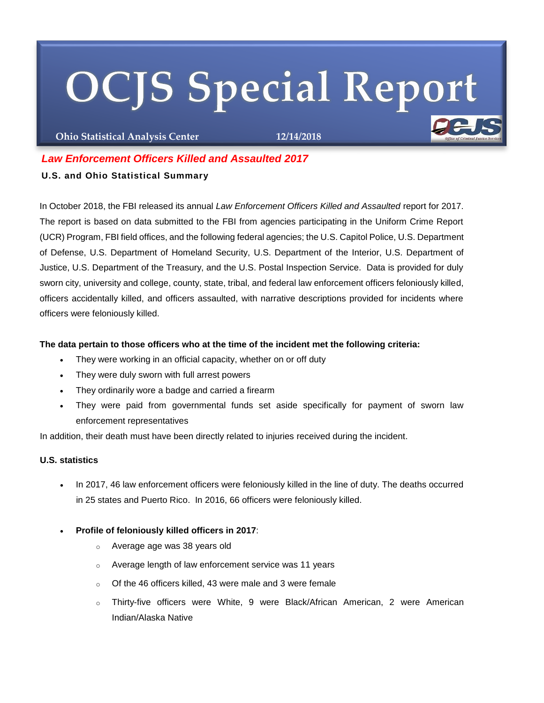# **OCJS Special Report**

**Ohio Statistical Analysis Center 12/14/2018**

# *Law Enforcement Officers Killed and Assaulted 2017*

## **U.S. and Ohio Statistical Summary**

In October 2018, the FBI released its annual *Law Enforcement Officers Killed and Assaulted* report for 2017. The report is based on data submitted to the FBI from agencies participating in the Uniform Crime Report (UCR) Program, FBI field offices, and the following federal agencies; the U.S. Capitol Police, U.S. Department of Defense, U.S. Department of Homeland Security, U.S. Department of the Interior, U.S. Department of Justice, U.S. Department of the Treasury, and the U.S. Postal Inspection Service. Data is provided for duly sworn city, university and college, county, state, tribal, and federal law enforcement officers feloniously killed, officers accidentally killed, and officers assaulted, with narrative descriptions provided for incidents where officers were feloniously killed.

### **The data pertain to those officers who at the time of the incident met the following criteria:**

- They were working in an official capacity, whether on or off duty
- They were duly sworn with full arrest powers
- They ordinarily wore a badge and carried a firearm
- They were paid from governmental funds set aside specifically for payment of sworn law enforcement representatives

In addition, their death must have been directly related to injuries received during the incident.

### **U.S. statistics**

- In 2017, 46 law enforcement officers were feloniously killed in the line of duty. The deaths occurred in 25 states and Puerto Rico. In 2016, 66 officers were feloniously killed.
- **Profile of feloniously killed officers in 2017**:
	- o Average age was 38 years old
	- o Average length of law enforcement service was 11 years
	- $\circ$  Of the 46 officers killed, 43 were male and 3 were female
	- o Thirty-five officers were White, 9 were Black/African American, 2 were American Indian/Alaska Native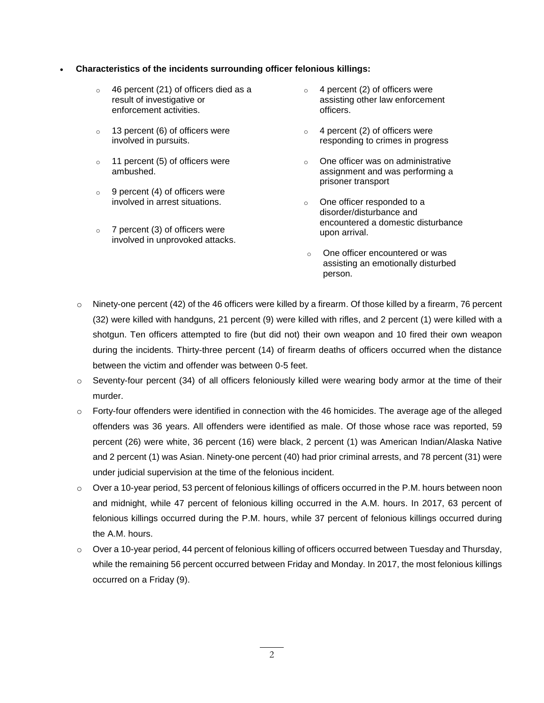#### **Characteristics of the incidents surrounding officer felonious killings:**

- o 46 percent (21) of officers died as a result of investigative or enforcement activities.
- $\circ$  13 percent (6) of officers were involved in pursuits.
- o 11 percent (5) of officers were ambushed.
- $\circ$  9 percent (4) of officers were involved in arrest situations.
- $\circ$  7 percent (3) of officers were involved in unprovoked attacks.
- $\circ$  4 percent (2) of officers were assisting other law enforcement officers.
- $\circ$  4 percent (2) of officers were responding to crimes in progress
- o One officer was on administrative assignment and was performing a prisoner transport
- o One officer responded to a disorder/disturbance and encountered a domestic disturbance upon arrival.
- o One officer encountered or was assisting an emotionally disturbed person.
- $\circ$  Ninety-one percent (42) of the 46 officers were killed by a firearm. Of those killed by a firearm, 76 percent (32) were killed with handguns, 21 percent (9) were killed with rifles, and 2 percent (1) were killed with a shotgun. Ten officers attempted to fire (but did not) their own weapon and 10 fired their own weapon during the incidents. Thirty-three percent (14) of firearm deaths of officers occurred when the distance between the victim and offender was between 0-5 feet.
- $\circ$  Seventy-four percent (34) of all officers feloniously killed were wearing body armor at the time of their murder.
- $\circ$  Forty-four offenders were identified in connection with the 46 homicides. The average age of the alleged offenders was 36 years. All offenders were identified as male. Of those whose race was reported, 59 percent (26) were white, 36 percent (16) were black, 2 percent (1) was American Indian/Alaska Native and 2 percent (1) was Asian. Ninety-one percent (40) had prior criminal arrests, and 78 percent (31) were under judicial supervision at the time of the felonious incident.
- o Over a 10-year period, 53 percent of felonious killings of officers occurred in the P.M. hours between noon and midnight, while 47 percent of felonious killing occurred in the A.M. hours. In 2017, 63 percent of felonious killings occurred during the P.M. hours, while 37 percent of felonious killings occurred during the A.M. hours.
- $\circ$  Over a 10-year period, 44 percent of felonious killing of officers occurred between Tuesday and Thursday, while the remaining 56 percent occurred between Friday and Monday. In 2017, the most felonious killings occurred on a Friday (9).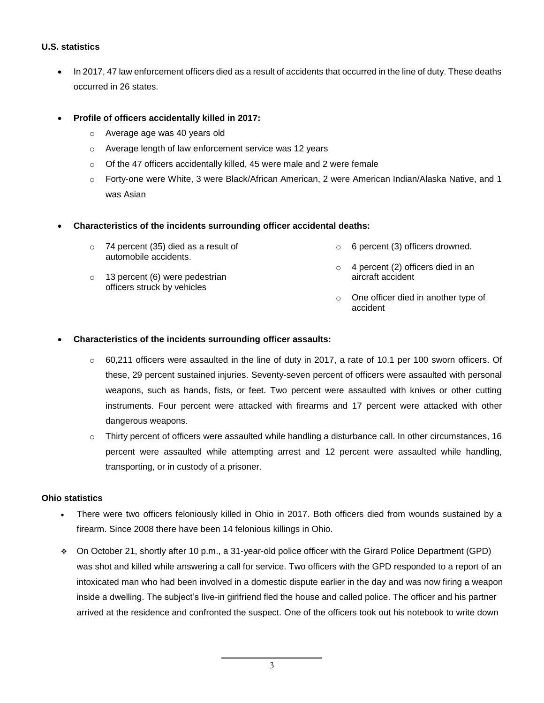#### **U.S. statistics**

- In 2017, 47 law enforcement officers died as a result of accidents that occurred in the line of duty. These deaths occurred in 26 states.
- **Profile of officers accidentally killed in 2017:**
	- o Average age was 40 years old
	- o Average length of law enforcement service was 12 years
	- o Of the 47 officers accidentally killed, 45 were male and 2 were female
	- o Forty-one were White, 3 were Black/African American, 2 were American Indian/Alaska Native, and 1 was Asian

#### **Characteristics of the incidents surrounding officer accidental deaths:**

- o 74 percent (35) died as a result of automobile accidents. o 6 percent (3) officers drowned.
- o 13 percent (6) were pedestrian officers struck by vehicles o 4 percent (2) officers died in an aircraft accident
	- o One officer died in another type of accident

#### **Characteristics of the incidents surrounding officer assaults:**

- $\circ$  60,211 officers were assaulted in the line of duty in 2017, a rate of 10.1 per 100 sworn officers. Of these, 29 percent sustained injuries. Seventy-seven percent of officers were assaulted with personal weapons, such as hands, fists, or feet. Two percent were assaulted with knives or other cutting instruments. Four percent were attacked with firearms and 17 percent were attacked with other dangerous weapons.
- $\circ$  Thirty percent of officers were assaulted while handling a disturbance call. In other circumstances, 16 percent were assaulted while attempting arrest and 12 percent were assaulted while handling, transporting, or in custody of a prisoner.

#### **Ohio statistics**

- There were two officers feloniously killed in Ohio in 2017. Both officers died from wounds sustained by a firearm. Since 2008 there have been 14 felonious killings in Ohio.
- On October 21, shortly after 10 p.m., a 31-year-old police officer with the Girard Police Department (GPD) was shot and killed while answering a call for service. Two officers with the GPD responded to a report of an intoxicated man who had been involved in a domestic dispute earlier in the day and was now firing a weapon inside a dwelling. The subject's live-in girlfriend fled the house and called police. The officer and his partner arrived at the residence and confronted the suspect. One of the officers took out his notebook to write down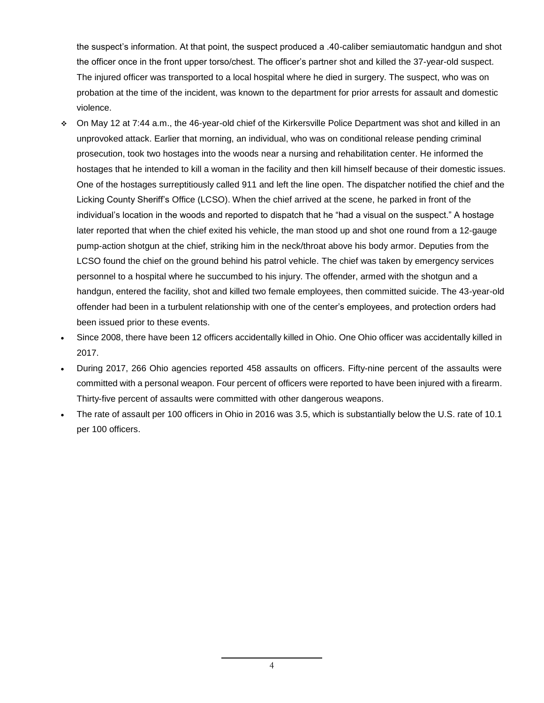the suspect's information. At that point, the suspect produced a .40-caliber semiautomatic handgun and shot the officer once in the front upper torso/chest. The officer's partner shot and killed the 37-year-old suspect. The injured officer was transported to a local hospital where he died in surgery. The suspect, who was on probation at the time of the incident, was known to the department for prior arrests for assault and domestic violence.

- On May 12 at 7:44 a.m., the 46-year-old chief of the Kirkersville Police Department was shot and killed in an unprovoked attack. Earlier that morning, an individual, who was on conditional release pending criminal prosecution, took two hostages into the woods near a nursing and rehabilitation center. He informed the hostages that he intended to kill a woman in the facility and then kill himself because of their domestic issues. One of the hostages surreptitiously called 911 and left the line open. The dispatcher notified the chief and the Licking County Sheriff's Office (LCSO). When the chief arrived at the scene, he parked in front of the individual's location in the woods and reported to dispatch that he "had a visual on the suspect." A hostage later reported that when the chief exited his vehicle, the man stood up and shot one round from a 12-gauge pump-action shotgun at the chief, striking him in the neck/throat above his body armor. Deputies from the LCSO found the chief on the ground behind his patrol vehicle. The chief was taken by emergency services personnel to a hospital where he succumbed to his injury. The offender, armed with the shotgun and a handgun, entered the facility, shot and killed two female employees, then committed suicide. The 43-year-old offender had been in a turbulent relationship with one of the center's employees, and protection orders had been issued prior to these events.
- Since 2008, there have been 12 officers accidentally killed in Ohio. One Ohio officer was accidentally killed in 2017.
- During 2017, 266 Ohio agencies reported 458 assaults on officers. Fifty-nine percent of the assaults were committed with a personal weapon. Four percent of officers were reported to have been injured with a firearm. Thirty-five percent of assaults were committed with other dangerous weapons.
- The rate of assault per 100 officers in Ohio in 2016 was 3.5, which is substantially below the U.S. rate of 10.1 per 100 officers.